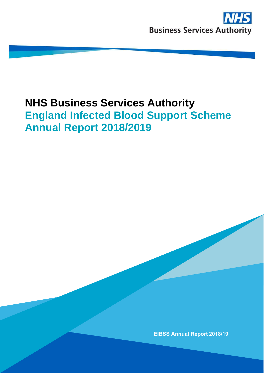# **NHS Business Services Authority England Infected Blood Support Scheme Annual Report 2018/2019**

**EIBSS Annual Report 2018/19**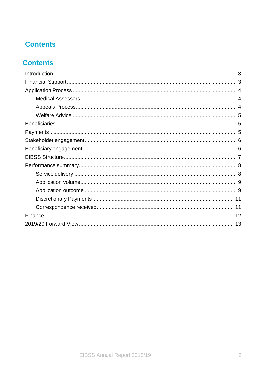# **Contents**

# **Contents**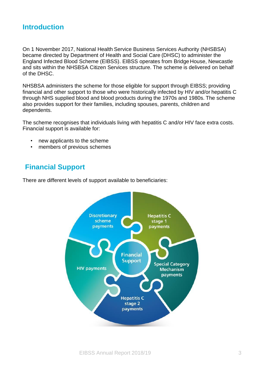## <span id="page-2-0"></span>**Introduction**

On 1 November 2017, National Health Service Business Services Authority (NHSBSA) became directed by Department of Health and Social Care (DHSC) to administer the England Infected Blood Scheme (EIBSS). EIBSS operates from Bridge House, Newcastle and sits within the NHSBSA Citizen Services structure. The scheme is delivered on behalf of the DHSC.

NHSBSA administers the scheme for those eligible for support through EIBSS; providing financial and other support to those who were historically infected by HIV and/or hepatitis C through NHS supplied blood and blood products during the 1970s and 1980s. The scheme also provides support for their families, including spouses, parents, children and dependents.

The scheme recognises that individuals living with hepatitis C and/or HIV face extra costs. Financial support is available for:

- new applicants to the scheme
- members of previous schemes

## <span id="page-2-1"></span>**Financial Support**

There are different levels of support available to beneficiaries:

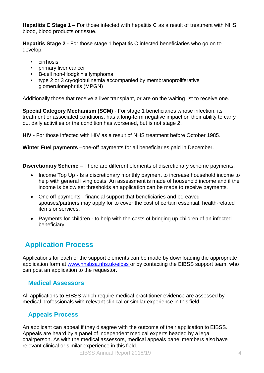**Hepatitis C Stage 1** – For those infected with hepatitis C as a result of treatment with NHS blood, blood products or tissue.

**Hepatitis Stage 2** - For those stage 1 hepatitis C infected beneficiaries who go on to develop:

- cirrhosis
- primary liver cancer
- B-cell non-Hodgkin's lymphoma
- type 2 or 3 cryoglobulinemia accompanied by membranoproliferative glomerulonephritis (MPGN)

Additionally those that receive a liver transplant, or are on the waiting list to receive one.

**Special Category Mechanism (SCM)** - For stage 1 beneficiaries whose infection, its treatment or associated conditions, has a long-term negative impact on their ability to carry out daily activities or the condition has worsened, but is not stage 2.

**HIV** - For those infected with HIV as a result of NHS treatment before October 1985.

**Winter Fuel payments** –one-off payments for all beneficiaries paid in December.

**Discretionary Scheme** – There are different elements of discretionary scheme payments:

- Income Top Up Is a discretionary monthly payment to increase household income to help with general living costs. An assessment is made of household income and if the income is below set thresholds an application can be made to receive payments.
- One off payments financial support that beneficiaries and bereaved spouses/partners may apply for to cover the cost of certain essential, health-related items or services.
- Payments for children to help with the costs of bringing up children of an infected beneficiary.

# <span id="page-3-0"></span>**Application Process**

Applications for each of the support elements can be made by downloading the appropriate application form at [www.nhsbsa.nhs.uk/eibss](http://www.nhsbsa.nhs.uk/eibss) or by contacting the EIBSS support team, who can post an application to the requestor.

#### <span id="page-3-1"></span>**Medical Assessors**

All applications to EIBSS which require medical practitioner evidence are assessed by medical professionals with relevant clinical or similar experience in this field.

#### <span id="page-3-2"></span>**Appeals Process**

An applicant can appeal if they disagree with the outcome of their application to EIBSS. Appeals are heard by a panel of independent medical experts headed by a legal chairperson. As with the medical assessors, medical appeals panel members also have relevant clinical or similar experience in this field.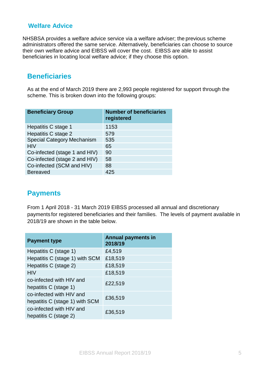#### <span id="page-4-0"></span>**Welfare Advice**

NHSBSA provides a welfare advice service via a welfare adviser; the previous scheme administrators offered the same service. Alternatively, beneficiaries can choose to source their own welfare advice and EIBSS will cover the cost. EIBSS are able to assist beneficiaries in locating local welfare advice; if they choose this option.

## <span id="page-4-1"></span>**Beneficiaries**

As at the end of March 2019 there are 2,993 people registered for support through the scheme. This is broken down into the following groups:

| <b>Beneficiary Group</b>          | <b>Number of beneficiaries</b><br>registered |
|-----------------------------------|----------------------------------------------|
| Hepatitis C stage 1               | 1153                                         |
| Hepatitis C stage 2               | 579                                          |
| <b>Special Category Mechanism</b> | 535                                          |
| <b>HIV</b>                        | 65                                           |
| Co-infected (stage 1 and HIV)     | 90                                           |
| Co-infected (stage 2 and HIV)     | 58                                           |
| Co-infected (SCM and HIV)         | 88                                           |
| <b>Bereaved</b>                   | 425                                          |

## <span id="page-4-2"></span>**Payments**

From 1 April 2018 - 31 March 2019 EIBSS processed all annual and discretionary payments for registered beneficiaries and their families. The levels of payment available in 2018/19 are shown in the table below.

| <b>Payment type</b>                                        | <b>Annual payments in</b><br>2018/19 |
|------------------------------------------------------------|--------------------------------------|
| Hepatitis C (stage 1)                                      | £4,519                               |
| Hepatitis C (stage 1) with SCM                             | £18,519                              |
| Hepatitis C (stage 2)                                      | £18,519                              |
| <b>HIV</b>                                                 | £18,519                              |
| co-infected with HIV and<br>hepatitis C (stage 1)          | £22,519                              |
| co-infected with HIV and<br>hepatitis C (stage 1) with SCM | £36,519                              |
| co-infected with HIV and<br>hepatitis C (stage 2)          | £36,519                              |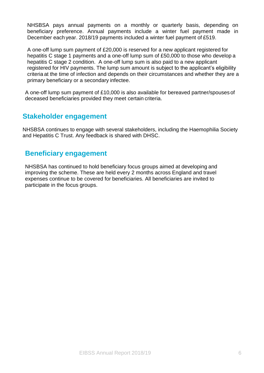NHSBSA pays annual payments on a monthly or quarterly basis, depending on beneficiary preference. Annual payments include a winter fuel payment made in December each year. 2018/19 payments included a winter fuel payment of £519.

A one-off lump sum payment of £20,000 is reserved for a new applicant registered for hepatitis C stage 1 payments and a one-off lump sum of £50,000 to those who develop a hepatitis C stage 2 condition. A one-off lump sum is also paid to a new applicant registered for HIV payments. The lump sum amount is subject to the applicant's eligibility criteria at the time of infection and depends on their circumstances and whether they are a primary beneficiary or a secondary infectee.

A one-off lump sum payment of £10,000 is also available for bereaved partner/spouses of deceased beneficiaries provided they meet certain criteria.

## <span id="page-5-0"></span>**Stakeholder engagement**

NHSBSA continues to engage with several stakeholders, including the Haemophilia Society and Hepatitis C Trust. Any feedback is shared with DHSC.

## <span id="page-5-1"></span>**Beneficiary engagement**

NHSBSA has continued to hold beneficiary focus groups aimed at developing and improving the scheme. These are held every 2 months across England and travel expenses continue to be covered for beneficiaries. All beneficiaries are invited to participate in the focus groups.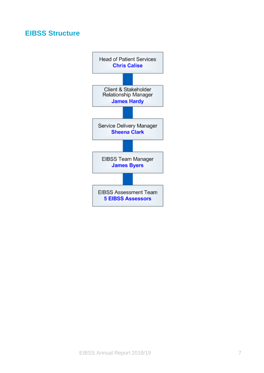## <span id="page-6-0"></span>**EIBSS Structure**

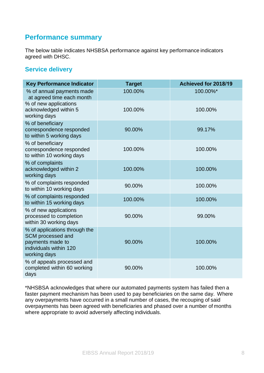## <span id="page-7-0"></span>**Performance summary**

The below table indicates NHSBSA performance against key performance indicators agreed with DHSC.

#### <span id="page-7-1"></span>**Service delivery**

| <b>Key Performance Indicator</b>                                                                                 | <b>Target</b> | Achieved for 2018/19 |
|------------------------------------------------------------------------------------------------------------------|---------------|----------------------|
| % of annual payments made<br>at agreed time each month                                                           | 100.00%       | 100.00%*             |
| % of new applications<br>acknowledged within 5<br>working days                                                   | 100.00%       | 100.00%              |
| % of beneficiary<br>correspondence responded<br>to within 5 working days                                         | 90.00%        | 99.17%               |
| % of beneficiary<br>correspondence responded<br>to within 10 working days                                        | 100.00%       | 100.00%              |
| % of complaints<br>acknowledged within 2<br>working days                                                         | 100.00%       | 100.00%              |
| % of complaints responded<br>to within 10 working days                                                           | 90.00%        | 100.00%              |
| % of complaints responded<br>to within 15 working days                                                           | 100.00%       | 100.00%              |
| % of new applications<br>processed to completion<br>within 30 working days                                       | 90.00%        | 99.00%               |
| % of applications through the<br>SCM processed and<br>payments made to<br>individuals within 120<br>working days | 90.00%        | 100.00%              |
| % of appeals processed and<br>completed within 60 working<br>days                                                | 90.00%        | 100.00%              |

\*NHSBSA acknowledges that where our automated payments system has failed then a faster payment mechanism has been used to pay beneficiaries on the same day. Where any overpayments have occurred in a small number of cases, the recouping of said overpayments has been agreed with beneficiaries and phased over a number of months where appropriate to avoid adversely affecting individuals.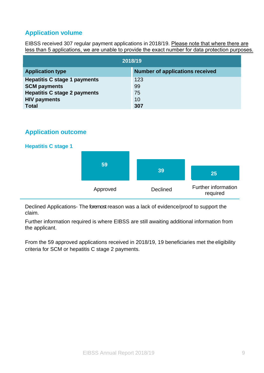## <span id="page-8-0"></span>**Application volume**

EIBSS received 307 regular payment applications in 2018/19. Please note that where there are less than 5 applications, we are unable to provide the exact number for data protection purposes.

| 12018/19                            |                                        |  |
|-------------------------------------|----------------------------------------|--|
| <b>Application type</b>             | <b>Number of applications received</b> |  |
| <b>Hepatitis C stage 1 payments</b> | 123                                    |  |
| <b>SCM payments</b>                 | 99                                     |  |
| <b>Hepatitis C stage 2 payments</b> | 75                                     |  |
| <b>HIV payments</b>                 | 10                                     |  |
| <b>Total</b>                        | 307                                    |  |

#### <span id="page-8-1"></span>**Application outcome**



Declined Applications- The foremost reason was a lack of evidence/proof to support the claim.

Further information required is where EIBSS are still awaiting additional information from the applicant.

From the 59 approved applications received in 2018/19, 19 beneficiaries met the eligibility criteria for SCM or hepatitis C stage 2 payments.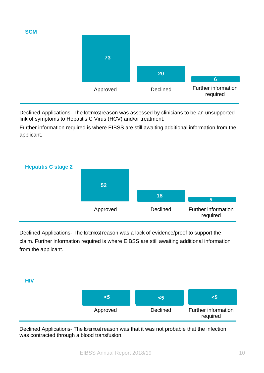**SCM**



Declined Applications- The foremost reason was assessed by clinicians to be an unsupported link of symptoms to Hepatitis C Virus (HCV) and/or treatment.

Further information required is where EIBSS are still awaiting additional information from the applicant.



Declined Applications- The foremost reason was a lack of evidence/proof to support the claim. Further information required is where EIBSS are still awaiting additional information from the applicant.

#### **HIV**

| - 5      | 50              | <ລ                              |
|----------|-----------------|---------------------------------|
| Approved | <b>Declined</b> | Further information<br>required |

Declined Applications- The foremost reason was that it was not probable that the infection was contracted through a blood transfusion.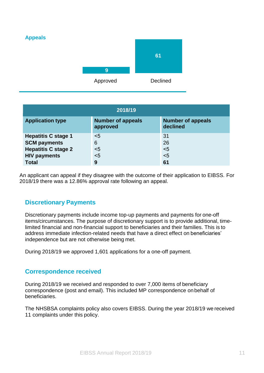

| 2018/19                                           |                                      |                                      |
|---------------------------------------------------|--------------------------------------|--------------------------------------|
| <b>Application type</b>                           | <b>Number of appeals</b><br>approved | <b>Number of appeals</b><br>declined |
| <b>Hepatitis C stage 1</b><br><b>SCM payments</b> | $5$<br>6                             | 31<br>26                             |
| <b>Hepatitis C stage 2</b><br><b>HIV payments</b> | $5$<br>$5$                           | $5$<br>$5$                           |
| <b>Total</b>                                      | 9                                    | 61                                   |

An applicant can appeal if they disagree with the outcome of their application to EIBSS. For 2018/19 there was a 12.86% approval rate following an appeal.

#### <span id="page-10-0"></span>**Discretionary Payments**

Discretionary payments include income top-up payments and payments for one-off items/circumstances. The purpose of discretionary support is to provide additional, timelimited financial and non-financial support to beneficiaries and their families. This is to address immediate infection-related needs that have a direct effect on beneficiaries' independence but are not otherwise being met.

During 2018/19 we approved 1,601 applications for a one-off payment.

#### <span id="page-10-1"></span>**Correspondence received**

During 2018/19 we received and responded to over 7,000 items of beneficiary correspondence (post and email). This included MP correspondence on behalf of beneficiaries.

The NHSBSA complaints policy also covers EIBSS. During the year 2018/19 we received 11 complaints under this policy.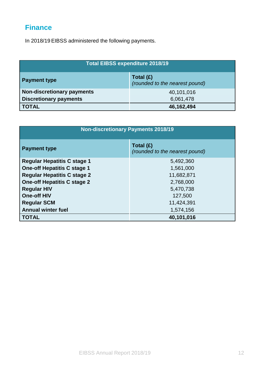# <span id="page-11-0"></span>**Finance**

In 2018/19 EIBSS administered the following payments.

| <b>Total EIBSS expenditure 2018/19</b>                               |            |  |
|----------------------------------------------------------------------|------------|--|
| Total $(E)$<br><b>Payment type</b><br>(rounded to the nearest pound) |            |  |
| <b>Non-discretionary payments</b>                                    | 40,101,016 |  |
| <b>Discretionary payments</b>                                        | 6,061,478  |  |
| <b>TOTAL</b>                                                         | 46,162,494 |  |

| <b>Non-discretionary Payments 2018/19</b>                                |                                             |  |
|--------------------------------------------------------------------------|---------------------------------------------|--|
| <b>Payment type</b>                                                      | Total (£)<br>(rounded to the nearest pound) |  |
| <b>Regular Hepatitis C stage 1</b><br><b>One-off Hepatitis C stage 1</b> | 5,492,360<br>1,561,000                      |  |
| <b>Regular Hepatitis C stage 2</b>                                       | 11,682,871                                  |  |
| <b>One-off Hepatitis C stage 2</b>                                       | 2,768,000                                   |  |
| <b>Regular HIV</b>                                                       | 5,470,738                                   |  |
| <b>One-off HIV</b>                                                       | 127,500                                     |  |
| <b>Regular SCM</b>                                                       | 11,424,391                                  |  |
| <b>Annual winter fuel</b>                                                | 1,574,156                                   |  |
| <b>TOTAL</b>                                                             | 40,101,016                                  |  |